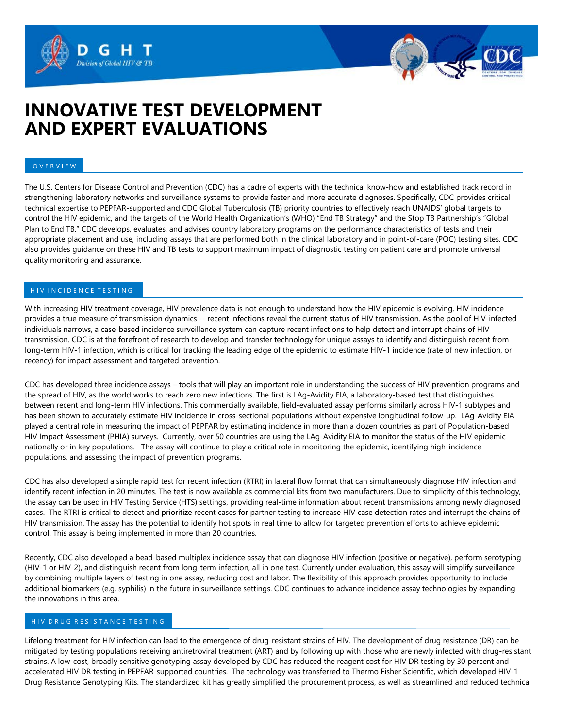# **INNOVATIVE TEST DEVELOPMENT AND EXPERT EVALUATIONS**

Division of Global HIV &

#### O V E R V I E W

The U.S. Centers for Disease Control and Prevention (CDC) has a cadre of experts with the technical know-how and established track record in strengthening laboratory networks and surveillance systems to provide faster and more accurate diagnoses. Specifically, CDC provides critical technical expertise to PEPFAR-supported and CDC Global Tuberculosis (TB) priority countries to effectively reach UNAIDS' global targets to control the HIV epidemic, and the targets of the World Health Organization's (WHO) "End TB Strategy" and the Stop TB Partnership's "Global Plan to End TB." CDC develops, evaluates, and advises country laboratory programs on the performance characteristics of tests and their appropriate placement and use, including assays that are performed both in the clinical laboratory and in point-of-care (POC) testing sites. CDC also provides guidance on these HIV and TB tests to support maximum impact of diagnostic testing on patient care and promote universal quality monitoring and assurance.

## H IV IN CIDENCE TESTING

With increasing HIV treatment coverage, HIV prevalence data is not enough to understand how the HIV epidemic is evolving. HIV incidence provides a true measure of transmission dynamics -- recent infections reveal the current status of HIV transmission. As the pool of HIV-infected individuals narrows, a case-based incidence surveillance system can capture recent infections to help detect and interrupt chains of HIV transmission. CDC is at the forefront of research to develop and transfer technology for unique assays to identify and distinguish recent from long-term HIV-1 infection, which is critical for tracking the leading edge of the epidemic to estimate HIV-1 incidence (rate of new infection, or recency) for impact assessment and targeted prevention.

CDC has developed three incidence assays – tools that will play an important role in understanding the success of HIV prevention programs and the spread of HIV, as the world works to reach zero new infections. The first is LAg-Avidity EIA, a laboratory-based test that distinguishes between recent and long-term HIV infections. This commercially available, field-evaluated assay performs similarly across HIV-1 subtypes and has been shown to accurately estimate HIV incidence in cross-sectional populations without expensive longitudinal follow-up. LAg-Avidity EIA played a central role in measuring the impact of PEPFAR by estimating incidence in more than a dozen countries as part of Population-based HIV Impact Assessment (PHIA) surveys. Currently, over 50 countries are using the LAg-Avidity EIA to monitor the status of the HIV epidemic nationally or in key populations. The assay will continue to play a critical role in monitoring the epidemic, identifying high-incidence populations, and assessing the impact of prevention programs.

CDC has also developed a simple rapid test for recent infection (RTRI) in lateral flow format that can simultaneously diagnose HIV infection and identify recent infection in 20 minutes. The test is now available as commercial kits from two manufacturers. Due to simplicity of this technology, the assay can be used in HIV Testing Service (HTS) settings, providing real-time information about recent transmissions among newly diagnosed cases. The RTRI is critical to detect and prioritize recent cases for partner testing to increase HIV case detection rates and interrupt the chains of HIV transmission. The assay has the potential to identify hot spots in real time to allow for targeted prevention efforts to achieve epidemic control. This assay is being implemented in more than 20 countries.

Recently, CDC also developed a bead-based multiplex incidence assay that can diagnose HIV infection (positive or negative), perform serotyping (HIV-1 or HIV-2), and distinguish recent from long-term infection, all in one test. Currently under evaluation, this assay will simplify surveillance by combining multiple layers of testing in one assay, reducing cost and labor. The flexibility of this approach provides opportunity to include additional biomarkers (e.g. syphilis) in the future in surveillance settings. CDC continues to advance incidence assay technologies by expanding the innovations in this area.

#### H I V D R U G R E S I S T A N C E T E S T I N G

Lifelong treatment for HIV infection can lead to the emergence of drug-resistant strains of HIV. The development of drug resistance (DR) can be mitigated by testing populations receiving antiretroviral treatment (ART) and by following up with those who are newly infected with drug-resistant strains. A low-cost, broadly sensitive genotyping assay developed by CDC has reduced the reagent cost for HIV DR testing by 30 percent and accelerated HIV DR testing in PEPFAR-supported countries. The technology was transferred to Thermo Fisher Scientific, which developed HIV-1 Drug Resistance Genotyping Kits. The standardized kit has greatly simplified the procurement process, as well as streamlined and reduced technical